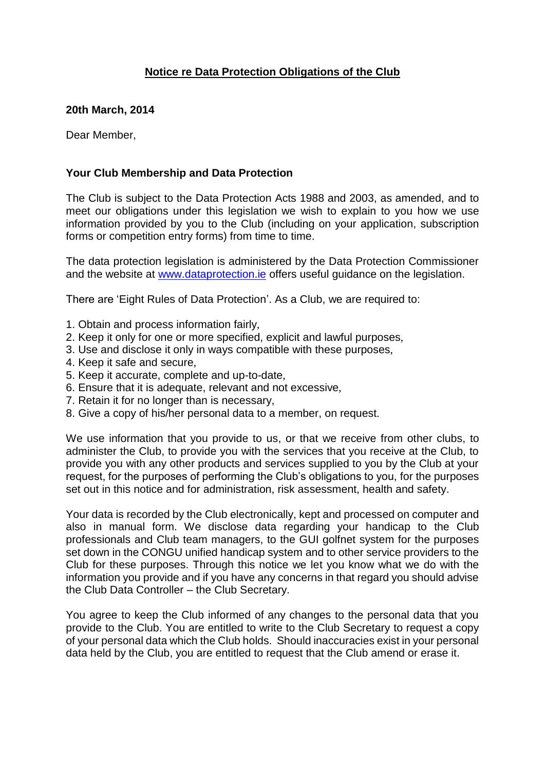## **Notice re Data Protection Obligations of the Club**

### **20th March, 2014**

Dear Member,

### **Your Club Membership and Data Protection**

The Club is subject to the Data Protection Acts 1988 and 2003, as amended, and to meet our obligations under this legislation we wish to explain to you how we use information provided by you to the Club (including on your application, subscription forms or competition entry forms) from time to time.

The data protection legislation is administered by the Data Protection Commissioner and the website at [www.dataprotection.ie](http://www.dataprotection.ie/) offers useful guidance on the legislation.

There are 'Eight Rules of Data Protection'. As a Club, we are required to:

- 1. Obtain and process [information](http://www.dataprotection.ie/ViewDoc.asp?fn=/documents/guidance/Guide_Data_Contollers.htm&CatID=90&m=y#1) fairly,
- 2. Keep it only for one or more [specified,](http://www.dataprotection.ie/ViewDoc.asp?fn=/documents/guidance/Guide_Data_Contollers.htm&CatID=90&m=y#2) explicit and lawful purposes,
- 3. Use and disclose it only in ways [compatible](http://www.dataprotection.ie/ViewDoc.asp?fn=/documents/guidance/Guide_Data_Contollers.htm&CatID=90&m=y#3) with these purposes,
- 4. Keep it safe and [secure](http://www.dataprotection.ie/ViewDoc.asp?fn=/documents/guidance/Guide_Data_Contollers.htm&CatID=90&m=y#4),
- 5. Keep it accurate, complete and [up-to-date](http://www.dataprotection.ie/ViewDoc.asp?fn=/documents/guidance/Guide_Data_Contollers.htm&CatID=90&m=y#5),
- 6. Ensure that it is [adequate,](http://www.dataprotection.ie/ViewDoc.asp?fn=/documents/guidance/Guide_Data_Contollers.htm&CatID=90&m=y#6) relevant and not excessive,
- 7. Retain it for no longer than is [necessary,](http://www.dataprotection.ie/ViewDoc.asp?fn=/documents/guidance/Guide_Data_Contollers.htm&CatID=90&m=y#7)
- 8. Give a copy of his/her personal data to a [member,](http://www.dataprotection.ie/ViewDoc.asp?fn=/documents/guidance/Guide_Data_Contollers.htm&CatID=90&m=y#8) on request.

We use information that you provide to us, or that we receive from other clubs, to administer the Club, to provide you with the services that you receive at the Club, to provide you with any other products and services supplied to you by the Club at your request, for the purposes of performing the Club's obligations to you, for the purposes set out in this notice and for administration, risk assessment, health and safety.

Your data is recorded by the Club electronically, kept and processed on computer and also in manual form. We disclose data regarding your handicap to the Club professionals and Club team managers, to the GUI golfnet system for the purposes set down in the CONGU unified handicap system and to other service providers to the Club for these purposes. Through this notice we let you know what we do with the information you provide and if you have any concerns in that regard you should advise the Club Data Controller – the Club Secretary.

You agree to keep the Club informed of any changes to the personal data that you provide to the Club. You are entitled to write to the Club Secretary to request a copy of your personal data which the Club holds. Should inaccuracies exist in your personal data held by the Club, you are entitled to request that the Club amend or erase it.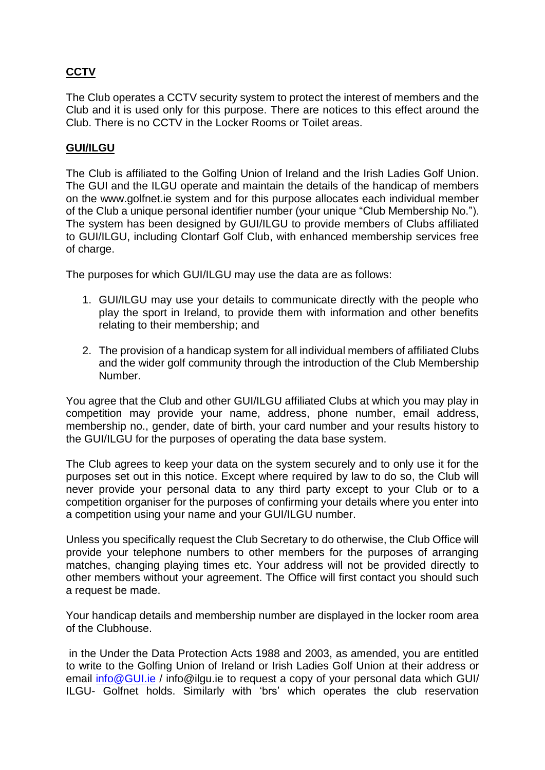# **CCTV**

The Club operates a CCTV security system to protect the interest of members and the Club and it is used only for this purpose. There are notices to this effect around the Club. There is no CCTV in the Locker Rooms or Toilet areas.

## **GUI/ILGU**

The Club is affiliated to the Golfing Union of Ireland and the Irish Ladies Golf Union. The GUI and the ILGU operate and maintain the details of the handicap of members on the www.golfnet.ie system and for this purpose allocates each individual member of the Club a unique personal identifier number (your unique "Club Membership No."). The system has been designed by GUI/ILGU to provide members of Clubs affiliated to GUI/ILGU, including Clontarf Golf Club, with enhanced membership services free of charge.

The purposes for which GUI/ILGU may use the data are as follows:

- 1. GUI/ILGU may use your details to communicate directly with the people who play the sport in Ireland, to provide them with information and other benefits relating to their membership; and
- 2. The provision of a handicap system for all individual members of affiliated Clubs and the wider golf community through the introduction of the Club Membership Number.

You agree that the Club and other GUI/ILGU affiliated Clubs at which you may play in competition may provide your name, address, phone number, email address, membership no., gender, date of birth, your card number and your results history to the GUI/ILGU for the purposes of operating the data base system.

The Club agrees to keep your data on the system securely and to only use it for the purposes set out in this notice. Except where required by law to do so, the Club will never provide your personal data to any third party except to your Club or to a competition organiser for the purposes of confirming your details where you enter into a competition using your name and your GUI/ILGU number.

Unless you specifically request the Club Secretary to do otherwise, the Club Office will provide your telephone numbers to other members for the purposes of arranging matches, changing playing times etc. Your address will not be provided directly to other members without your agreement. The Office will first contact you should such a request be made.

Your handicap details and membership number are displayed in the locker room area of the Clubhouse.

in the Under the Data Protection Acts 1988 and 2003, as amended, you are entitled to write to the Golfing Union of Ireland or Irish Ladies Golf Union at their address or email [info@GUI.ie](mailto:info@GUI.ie) / info@ilgu.ie to request a copy of your personal data which GUI/ ILGU- Golfnet holds. Similarly with 'brs' which operates the club reservation